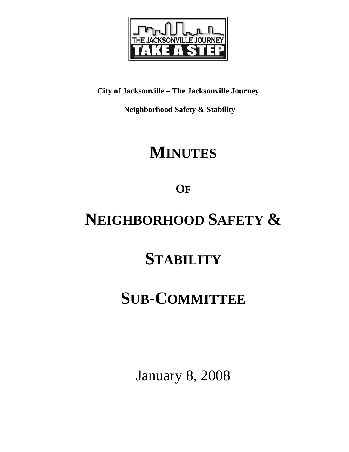

**City of Jacksonville – The Jacksonville Journey** 

 **Neighborhood Safety & Stability** 

# **MINUTES**

**OF**

# **NEIGHBORHOOD SAFETY &**

# **STABILITY**

## **SUB-COMMITTEE**

January 8, 2008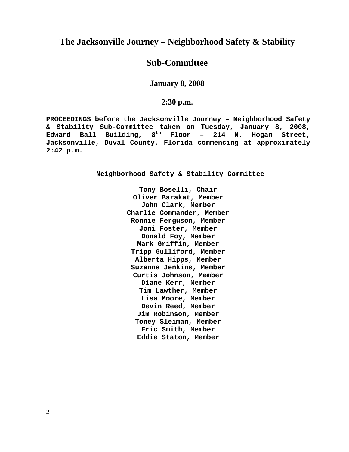## **The Jacksonville Journey – Neighborhood Safety & Stability**

### **Sub-Committee**

**January 8, 2008** 

### **2:30 p.m.**

**PROCEEDINGS before the Jacksonville Journey – Neighborhood Safety & Stability Sub-Committee taken on Tuesday, January 8, 2008, Edward Ball Building, 8th Floor – 214 N. Hogan Street, Jacksonville, Duval County, Florida commencing at approximately 2:42 p.m.** 

**Neighborhood Safety & Stability Committee** 

**Tony Boselli, Chair Oliver Barakat, Member John Clark, Member Charlie Commander, Member Ronnie Ferguson, Member Joni Foster, Member Donald Foy, Member Mark Griffin, Member Tripp Gulliford, Member Alberta Hipps, Member Suzanne Jenkins, Member Curtis Johnson, Member Diane Kerr, Member Tim Lawther, Member Lisa Moore, Member Devin Reed, Member Jim Robinson, Member Toney Sleiman, Member Eric Smith, Member Eddie Staton, Member**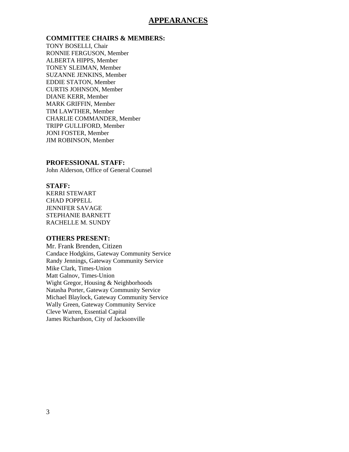### **APPEARANCES**

### **COMMITTEE CHAIRS & MEMBERS:**

TONY BOSELLI, Chair RONNIE FERGUSON, Member ALBERTA HIPPS, Member TONEY SLEIMAN, Member SUZANNE JENKINS, Member EDDIE STATON, Member CURTIS JOHNSON, Member DIANE KERR, Member MARK GRIFFIN, Member TIM LAWTHER, Member CHARLIE COMMANDER, Member TRIPP GULLIFORD, Member JONI FOSTER, Member JIM ROBINSON, Member

#### **PROFESSIONAL STAFF:**

John Alderson, Office of General Counsel

#### **STAFF:**

KERRI STEWART CHAD POPPELL JENNIFER SAVAGE STEPHANIE BARNETT RACHELLE M. SUNDY

#### **OTHERS PRESENT:**

Mr. Frank Brenden, Citizen Candace Hodgkins, Gateway Community Service Randy Jennings, Gateway Community Service Mike Clark, Times-Union Matt Galnov, Times-Union Wight Gregor, Housing & Neighborhoods Natasha Porter, Gateway Community Service Michael Blaylock, Gateway Community Service Wally Green, Gateway Community Service Cleve Warren, Essential Capital James Richardson, City of Jacksonville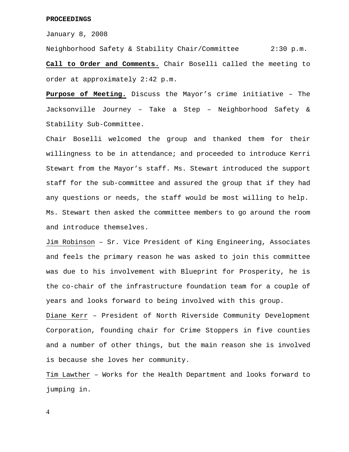#### **PROCEEDINGS**

January 8, 2008

Neighborhood Safety & Stability Chair/Committee 2:30 p.m. **Call to Order and Comments.** Chair Boselli called the meeting to order at approximately 2:42 p.m.

**Purpose of Meeting.** Discuss the Mayor's crime initiative – The Jacksonville Journey – Take a Step – Neighborhood Safety & Stability Sub-Committee.

Chair Boselli welcomed the group and thanked them for their willingness to be in attendance; and proceeded to introduce Kerri Stewart from the Mayor's staff. Ms. Stewart introduced the support staff for the sub-committee and assured the group that if they had any questions or needs, the staff would be most willing to help. Ms. Stewart then asked the committee members to go around the room and introduce themselves.

Jim Robinson – Sr. Vice President of King Engineering, Associates and feels the primary reason he was asked to join this committee was due to his involvement with Blueprint for Prosperity, he is the co-chair of the infrastructure foundation team for a couple of years and looks forward to being involved with this group.

Diane Kerr – President of North Riverside Community Development Corporation, founding chair for Crime Stoppers in five counties and a number of other things, but the main reason she is involved is because she loves her community.

Tim Lawther – Works for the Health Department and looks forward to jumping in.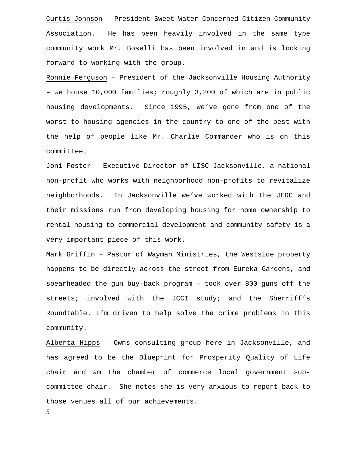Curtis Johnson – President Sweet Water Concerned Citizen Community Association. He has been heavily involved in the same type community work Mr. Boselli has been involved in and is looking forward to working with the group.

Ronnie Ferguson – President of the Jacksonville Housing Authority – we house 10,000 families; roughly 3,200 of which are in public housing developments. Since 1995, we've gone from one of the worst to housing agencies in the country to one of the best with the help of people like Mr. Charlie Commander who is on this committee.

Joni Foster – Executive Director of LISC Jacksonville, a national non-profit who works with neighborhood non-profits to revitalize neighborhoods. In Jacksonville we've worked with the JEDC and their missions run from developing housing for home ownership to rental housing to commercial development and community safety is a very important piece of this work.

Mark Griffin – Pastor of Wayman Ministries, the Westside property happens to be directly across the street from Eureka Gardens, and spearheaded the gun buy-back program – took over 800 guns off the streets; involved with the JCCI study; and the Sherriff's Roundtable. I'm driven to help solve the crime problems in this community.

Alberta Hipps – Owns consulting group here in Jacksonville, and has agreed to be the Blueprint for Prosperity Quality of Life chair and am the chamber of commerce local government subcommittee chair. She notes she is very anxious to report back to those venues all of our achievements.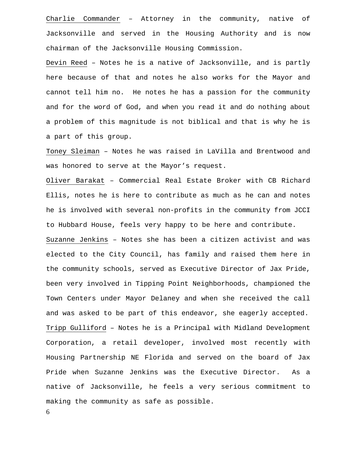Charlie Commander – Attorney in the community, native of Jacksonville and served in the Housing Authority and is now chairman of the Jacksonville Housing Commission.

Devin Reed – Notes he is a native of Jacksonville, and is partly here because of that and notes he also works for the Mayor and cannot tell him no. He notes he has a passion for the community and for the word of God, and when you read it and do nothing about a problem of this magnitude is not biblical and that is why he is a part of this group.

Toney Sleiman – Notes he was raised in LaVilla and Brentwood and was honored to serve at the Mayor's request.

Oliver Barakat – Commercial Real Estate Broker with CB Richard Ellis, notes he is here to contribute as much as he can and notes he is involved with several non-profits in the community from JCCI to Hubbard House, feels very happy to be here and contribute. Suzanne Jenkins – Notes she has been a citizen activist and was elected to the City Council, has family and raised them here in the community schools, served as Executive Director of Jax Pride, been very involved in Tipping Point Neighborhoods, championed the Town Centers under Mayor Delaney and when she received the call and was asked to be part of this endeavor, she eagerly accepted. Tripp Gulliford – Notes he is a Principal with Midland Development Corporation, a retail developer, involved most recently with Housing Partnership NE Florida and served on the board of Jax Pride when Suzanne Jenkins was the Executive Director. As a native of Jacksonville, he feels a very serious commitment to making the community as safe as possible.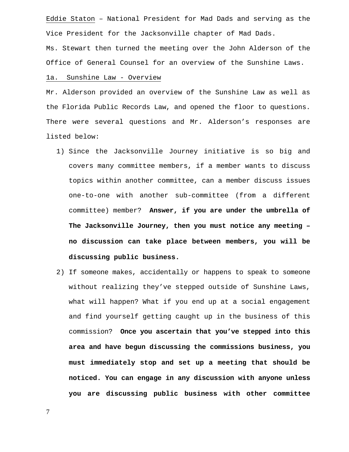Eddie Staton – National President for Mad Dads and serving as the Vice President for the Jacksonville chapter of Mad Dads.

Ms. Stewart then turned the meeting over the John Alderson of the Office of General Counsel for an overview of the Sunshine Laws.

#### 1a. Sunshine Law - Overview

Mr. Alderson provided an overview of the Sunshine Law as well as the Florida Public Records Law, and opened the floor to questions. There were several questions and Mr. Alderson's responses are listed below:

- 1) Since the Jacksonville Journey initiative is so big and covers many committee members, if a member wants to discuss topics within another committee, can a member discuss issues one-to-one with another sub-committee (from a different committee) member? **Answer, if you are under the umbrella of The Jacksonville Journey, then you must notice any meeting – no discussion can take place between members, you will be discussing public business.**
- 2) If someone makes, accidentally or happens to speak to someone without realizing they've stepped outside of Sunshine Laws, what will happen? What if you end up at a social engagement and find yourself getting caught up in the business of this commission? **Once you ascertain that you've stepped into this area and have begun discussing the commissions business, you must immediately stop and set up a meeting that should be noticed. You can engage in any discussion with anyone unless you are discussing public business with other committee**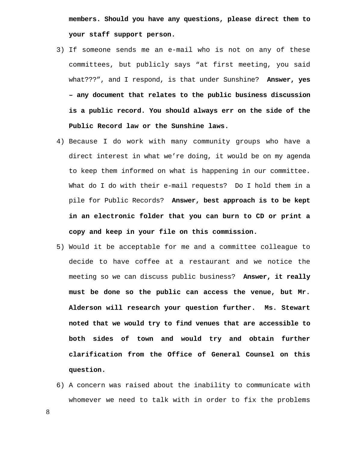**members. Should you have any questions, please direct them to your staff support person.** 

- 3) If someone sends me an e-mail who is not on any of these committees, but publicly says "at first meeting, you said what???", and I respond, is that under Sunshine? **Answer, yes – any document that relates to the public business discussion is a public record. You should always err on the side of the Public Record law or the Sunshine laws.**
- 4) Because I do work with many community groups who have a direct interest in what we're doing, it would be on my agenda to keep them informed on what is happening in our committee. What do I do with their e-mail requests? Do I hold them in a pile for Public Records? **Answer, best approach is to be kept in an electronic folder that you can burn to CD or print a copy and keep in your file on this commission.**
- 5) Would it be acceptable for me and a committee colleague to decide to have coffee at a restaurant and we notice the meeting so we can discuss public business? **Answer, it really must be done so the public can access the venue, but Mr. Alderson will research your question further. Ms. Stewart noted that we would try to find venues that are accessible to both sides of town and would try and obtain further clarification from the Office of General Counsel on this question.**
- 6) A concern was raised about the inability to communicate with whomever we need to talk with in order to fix the problems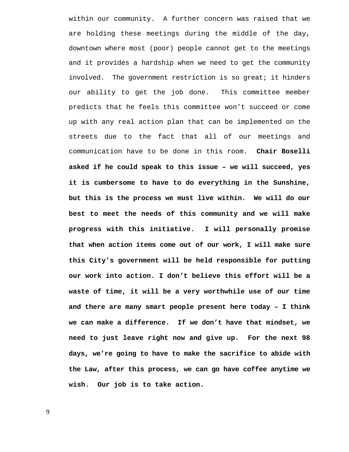within our community. A further concern was raised that we are holding these meetings during the middle of the day, downtown where most (poor) people cannot get to the meetings and it provides a hardship when we need to get the community involved. The government restriction is so great; it hinders our ability to get the job done. This committee member predicts that he feels this committee won't succeed or come up with any real action plan that can be implemented on the streets due to the fact that all of our meetings and communication have to be done in this room. **Chair Boselli asked if he could speak to this issue – we will succeed, yes it is cumbersome to have to do everything in the Sunshine, but this is the process we must live within. We will do our best to meet the needs of this community and we will make progress with this initiative. I will personally promise that when action items come out of our work, I will make sure this City's government will be held responsible for putting our work into action. I don't believe this effort will be a waste of time, it will be a very worthwhile use of our time and there are many smart people present here today – I think we can make a difference. If we don't have that mindset, we need to just leave right now and give up. For the next 98 days, we're going to have to make the sacrifice to abide with the Law, after this process, we can go have coffee anytime we wish. Our job is to take action.**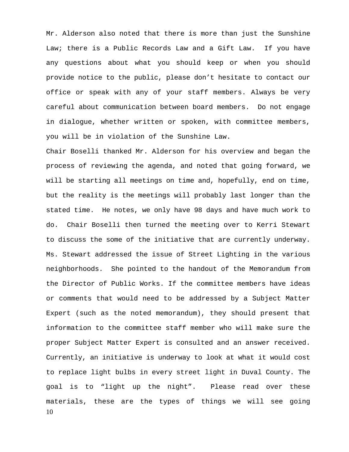Mr. Alderson also noted that there is more than just the Sunshine Law; there is a Public Records Law and a Gift Law. If you have any questions about what you should keep or when you should provide notice to the public, please don't hesitate to contact our office or speak with any of your staff members. Always be very careful about communication between board members. Do not engage in dialogue, whether written or spoken, with committee members, you will be in violation of the Sunshine Law.

10 Chair Boselli thanked Mr. Alderson for his overview and began the process of reviewing the agenda, and noted that going forward, we will be starting all meetings on time and, hopefully, end on time, but the reality is the meetings will probably last longer than the stated time. He notes, we only have 98 days and have much work to do. Chair Boselli then turned the meeting over to Kerri Stewart to discuss the some of the initiative that are currently underway. Ms. Stewart addressed the issue of Street Lighting in the various neighborhoods. She pointed to the handout of the Memorandum from the Director of Public Works. If the committee members have ideas or comments that would need to be addressed by a Subject Matter Expert (such as the noted memorandum), they should present that information to the committee staff member who will make sure the proper Subject Matter Expert is consulted and an answer received. Currently, an initiative is underway to look at what it would cost to replace light bulbs in every street light in Duval County. The goal is to "light up the night". Please read over these materials, these are the types of things we will see going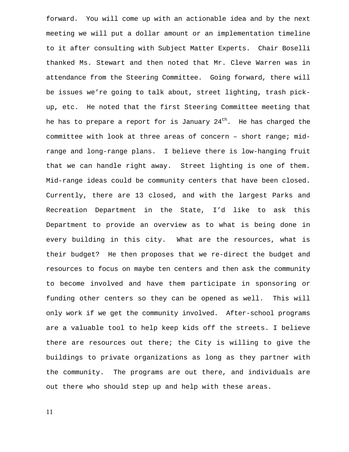forward. You will come up with an actionable idea and by the next meeting we will put a dollar amount or an implementation timeline to it after consulting with Subject Matter Experts. Chair Boselli thanked Ms. Stewart and then noted that Mr. Cleve Warren was in attendance from the Steering Committee. Going forward, there will be issues we're going to talk about, street lighting, trash pickup, etc. He noted that the first Steering Committee meeting that he has to prepare a report for is January  $24<sup>th</sup>$ . He has charged the committee with look at three areas of concern – short range; midrange and long-range plans. I believe there is low-hanging fruit that we can handle right away. Street lighting is one of them. Mid-range ideas could be community centers that have been closed. Currently, there are 13 closed, and with the largest Parks and Recreation Department in the State, I'd like to ask this Department to provide an overview as to what is being done in every building in this city. What are the resources, what is their budget? He then proposes that we re-direct the budget and resources to focus on maybe ten centers and then ask the community to become involved and have them participate in sponsoring or funding other centers so they can be opened as well. This will only work if we get the community involved. After-school programs are a valuable tool to help keep kids off the streets. I believe there are resources out there; the City is willing to give the buildings to private organizations as long as they partner with the community. The programs are out there, and individuals are out there who should step up and help with these areas.